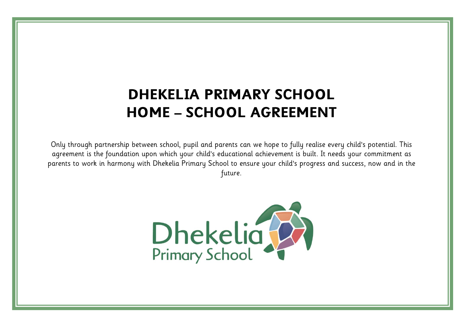# **DHEKELIA PRIMARY SCHOOL HOME – SCHOOL AGREEMENT**

Only through partnership between school, pupil and parents can we hope to fully realise every child's potential. This agreement is the foundation upon which your child's educational achievement is built. It needs your commitment as parents to work in harmony with Dhekelia Primary School to ensure your child's progress and success, now and in the future.